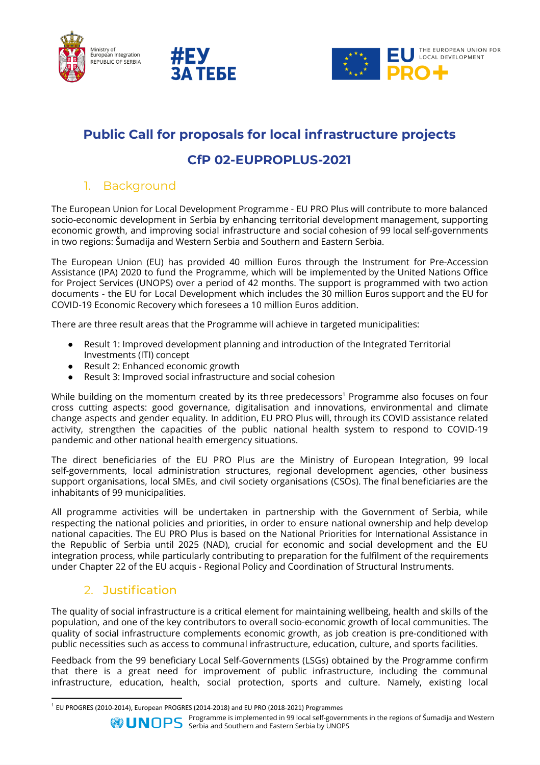





# **Public Call for proposals for local infrastructure projects**

# **CfP 02-EUPROPLUS-2021**

## 1. Background

The European Union for Local Development Programme - EU PRO Plus will contribute to more balanced socio-economic development in Serbia by enhancing territorial development management, supporting economic growth, and improving social infrastructure and social cohesion of 99 local self-governments in two regions: Šumadija and Western Serbia and Southern and Eastern Serbia.

The European Union (EU) has provided 40 million Euros through the Instrument for Pre-Accession Assistance (IPA) 2020 to fund the Programme, which will be implemented by the United Nations Office for Project Services (UNOPS) over a period of 42 months. The support is programmed with two action documents - the EU for Local Development which includes the 30 million Euros support and the EU for COVID-19 Economic Recovery which foresees a 10 million Euros addition.

There are three result areas that the Programme will achieve in targeted municipalities:

- Result 1: Improved development planning and introduction of the Integrated Territorial Investments (ITI) concept
- Result 2: Enhanced economic growth
- Result 3: Improved social infrastructure and social cohesion

While building on the momentum created by its three predecessors<sup>1</sup> Programme also focuses on four cross cutting aspects: good governance, digitalisation and innovations, environmental and climate change aspects and gender equality. In addition, EU PRO Plus will, through its COVID assistance related activity, strengthen the capacities of the public national health system to respond to COVID-19 pandemic and other national health emergency situations.

The direct beneficiaries of the EU PRO Plus are the Ministry of European Integration, 99 local self-governments, local administration structures, regional development agencies, other business support organisations, local SMEs, and civil society organisations (CSOs). The final beneficiaries are the inhabitants of 99 municipalities.

All programme activities will be undertaken in partnership with the Government of Serbia, while respecting the national policies and priorities, in order to ensure national ownership and help develop national capacities. The EU PRO Plus is based on the National Priorities for International Assistance in the Republic of Serbia until 2025 (NAD), crucial for economic and social development and the EU integration process, while particularly contributing to preparation for the fulfilment of the requirements under Chapter 22 of the EU acquis - Regional Policy and Coordination of Structural Instruments.

## 2. Justification

The quality of social infrastructure is a critical element for maintaining wellbeing, health and skills of the population, and one of the key contributors to overall socio-economic growth of local communities. The quality of social infrastructure complements economic growth, as job creation is pre-conditioned with public necessities such as access to communal infrastructure, education, culture, and sports facilities.

Feedback from the 99 beneficiary Local Self-Governments (LSGs) obtained by the Programme confirm that there is a great need for improvement of public infrastructure, including the communal infrastructure, education, health, social protection, sports and culture. Namely, existing local

<sup>1</sup> EU PROGRES (2010-2014), European PROGRES (2014-2018) and EU PRO (2018-2021) Programmes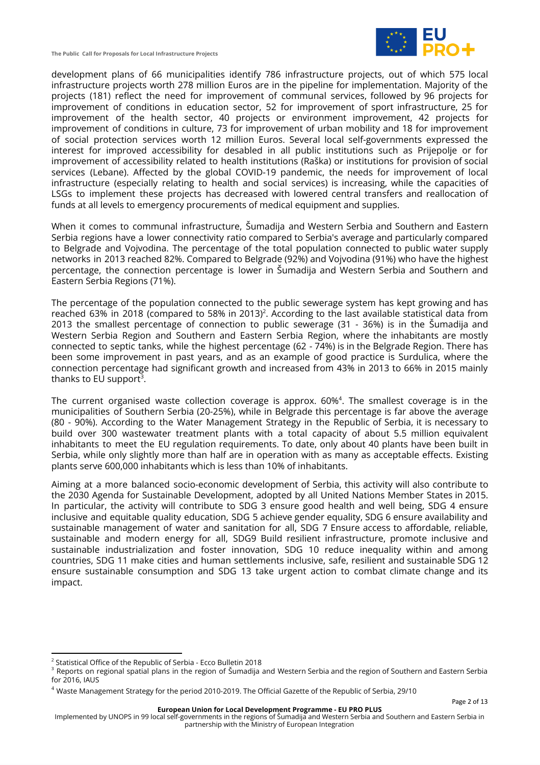**The Public Call for Proposals for Local Infrastructure Projects**



development plans of 66 municipalities identify 786 infrastructure projects, out of which 575 local infrastructure projects worth 278 million Euros are in the pipeline for implementation. Majority of the projects (181) reflect the need for improvement of communal services, followed by 96 projects for improvement of conditions in education sector, 52 for improvement of sport infrastructure, 25 for improvement of the health sector, 40 projects or environment improvement, 42 projects for improvement of conditions in culture, 73 for improvement of urban mobility and 18 for improvement of social protection services worth 12 million Euros. Several local self-governments expressed the interest for improved accessibility for desabled in all public institutions such as Prijepolje or for improvement of accessibility related to health institutions (Raška) or institutions for provision of social services (Lebane). Affected by the global COVID-19 pandemic, the needs for improvement of local infrastructure (especially relating to health and social services) is increasing, while the capacities of LSGs to implement these projects has decreased with lowered central transfers and reallocation of funds at all levels to emergency procurements of medical equipment and supplies.

When it comes to communal infrastructure, Šumadija and Western Serbia and Southern and Eastern Serbia regions have a lower connectivity ratio compared to Serbia's average and particularly compared to Belgrade and Vojvodina. The percentage of the total population connected to public water supply networks in 2013 reached 82%. Compared to Belgrade (92%) and Vojvodina (91%) who have the highest percentage, the connection percentage is lower in Šumadija and Western Serbia and Southern and Eastern Serbia Regions (71%).

The percentage of the population connected to the public sewerage system has kept growing and has reached 63% in 2018 (compared to 58% in 2013)<sup>2</sup>. According to the last available statistical data from 2013 the smallest percentage of connection to public sewerage (31 - 36%) is in the Šumadija and Western Serbia Region and Southern and Eastern Serbia Region, where the inhabitants are mostly connected to septic tanks, while the highest percentage (62 - 74%) is in the Belgrade Region. There has been some improvement in past years, and as an example of good practice is Surdulica, where the connection percentage had significant growth and increased from 43% in 2013 to 66% in 2015 mainly thanks to EU support<sup>3</sup>.

The current organised waste collection coverage is approx.  $60\%$ <sup>4</sup>. The smallest coverage is in the municipalities of Southern Serbia (20-25%), while in Belgrade this percentage is far above the average (80 - 90%). According to the Water Management Strategy in the Republic of Serbia, it is necessary to build over 300 wastewater treatment plants with a total capacity of about 5.5 million equivalent inhabitants to meet the EU regulation requirements. To date, only about 40 plants have been built in Serbia, while only slightly more than half are in operation with as many as acceptable effects. Existing plants serve 600,000 inhabitants which is less than 10% of inhabitants.

Aiming at a more balanced socio-economic development of Serbia, this activity will also contribute to the 2030 Agenda for Sustainable Development, adopted by all United Nations Member States in 2015. In particular, the activity will contribute to SDG 3 ensure good health and well being, SDG 4 ensure inclusive and equitable quality education, SDG 5 achieve gender equality, SDG 6 ensure availability and sustainable management of water and sanitation for all, SDG 7 Ensure access to affordable, reliable, sustainable and modern energy for all, SDG9 Build resilient infrastructure, promote inclusive and sustainable industrialization and foster innovation, SDG 10 reduce inequality within and among countries, SDG 11 make cities and human settlements inclusive, safe, resilient and sustainable SDG 12 ensure sustainable consumption and SDG 13 take urgent action to combat climate change and its impact.

<sup>2</sup> Statistical Office of the Republic of Serbia - Ecco [Bulletin](https://publikacije.stat.gov.rs/G2019/Pdf/G20195651.pdf) 2018

<sup>&</sup>lt;sup>3</sup> Reports on regional spatial plans in the region of [Šumadija](https://www.mgsi.gov.rs/sites/default/files/Izvestaj%20o%20ostvarivanju%20RPP%20na%20podrucju%20Regiona%20Juzne%20i%20Istocne%20Srbije%20za%202016.%20godinu.pdf%20,) and Western Serbia and the region of Southern and [Eastern](https://www.mgsi.gov.rs/sites/default/files/Izvestaj%20o%20ostvarivanju%20RPP%20na%20podrucju%20Regiona%20Sumadije%20i%20Zapadne%20Srbije%20za%202016.%20godinu.pdf) Serbia for [2016,](https://www.mgsi.gov.rs/sites/default/files/Izvestaj%20o%20ostvarivanju%20RPP%20na%20podrucju%20Regiona%20Sumadije%20i%20Zapadne%20Srbije%20za%202016.%20godinu.pdf) IAUS

<sup>4</sup> Waste [Management](https://www.ekologija.gov.rs/dokumenti/) Strategy for the period 2010-2019. The Official Gazette of the Republic of Serbia, 29/10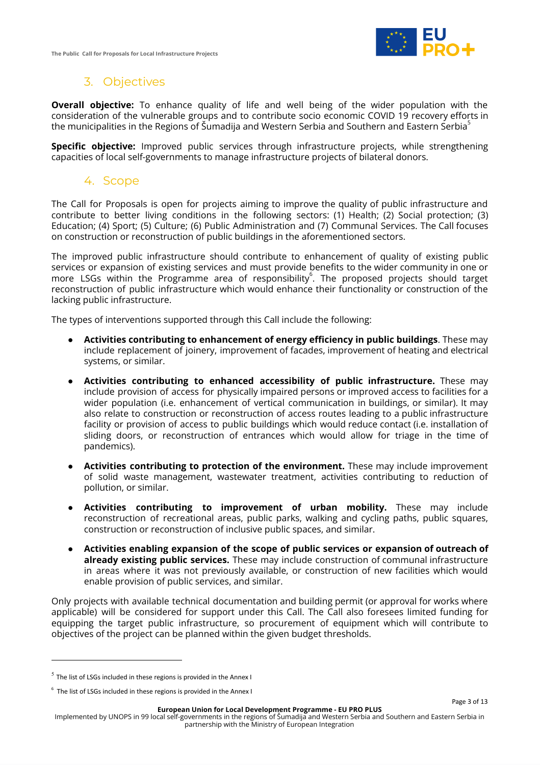**The Public Call for Proposals for Local Infrastructure Projects**



## 3. Objectives

**Overall objective:** To enhance quality of life and well being of the wider population with the consideration of the vulnerable groups and to contribute socio economic COVID 19 recovery efforts in the municipalities in the Regions of Šumadija and Western Serbia and Southern and Eastern Serbia $^{\rm 5}$ 

**Specific objective:** Improved public services through infrastructure projects, while strengthening capacities of local self-governments to manage infrastructure projects of bilateral donors.

## 4. Scope

The Call for Proposals is open for projects aiming to improve the quality of public infrastructure and contribute to better living conditions in the following sectors: (1) Health; (2) Social protection; (3) Education; (4) Sport; (5) Culture; (6) Public Administration and (7) Communal Services. The Call focuses on construction or reconstruction of public buildings in the aforementioned sectors.

The improved public infrastructure should contribute to enhancement of quality of existing public services or expansion of existing services and must provide benefits to the wider community in one or more LSGs within the Programme area of responsibility<sup>6</sup>. The proposed projects should target reconstruction of public infrastructure which would enhance their functionality or construction of the lacking public infrastructure.

The types of interventions supported through this Call include the following:

- **Activities contributing to enhancement of energy efficiency in public buildings**. These may include replacement of joinery, improvement of facades, improvement of heating and electrical systems, or similar.
- **● Activities contributing to enhanced accessibility of public infrastructure.** These may include provision of access for physically impaired persons or improved access to facilities for a wider population (i.e. enhancement of vertical communication in buildings, or similar). It may also relate to construction or reconstruction of access routes leading to a public infrastructure facility or provision of access to public buildings which would reduce contact (i.e. installation of sliding doors, or reconstruction of entrances which would allow for triage in the time of pandemics).
- **● Activities contributing to protection of the environment.** These may include improvement of solid waste management, wastewater treatment, activities contributing to reduction of pollution, or similar.
- **● Activities contributing to improvement of urban mobility.** These may include reconstruction of recreational areas, public parks, walking and cycling paths, public squares, construction or reconstruction of inclusive public spaces, and similar.
- **● Activities enabling expansion of the scope of public services or expansion of outreach of already existing public services.** These may include construction of communal infrastructure in areas where it was not previously available, or construction of new facilities which would enable provision of public services, and similar.

Only projects with available technical documentation and building permit (or approval for works where applicable) will be considered for support under this Call. The Call also foresees limited funding for equipping the target public infrastructure, so procurement of equipment which will contribute to objectives of the project can be planned within the given budget thresholds.

Page 3 of 13

 $5$  The list of LSGs included in these regions is provided in the Annex I

<sup>&</sup>lt;sup>6</sup> The list of LSGs included in these regions is provided in the Annex I

**European Union for Local Development Programme - EU PRO PLUS**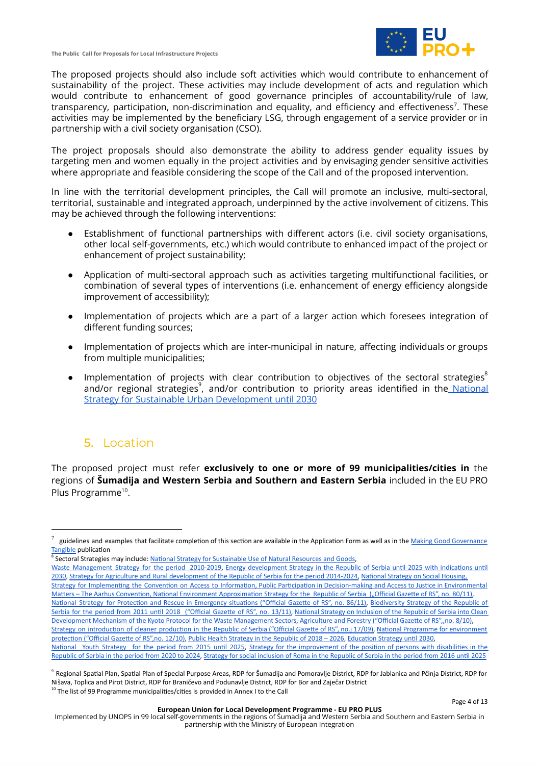**The Public Call for Proposals for Local Infrastructure Projects**



The proposed projects should also include soft activities which would contribute to enhancement of sustainability of the project. These activities may include development of acts and regulation which would contribute to enhancement of good governance principles of accountability/rule of law, transparency, participation, non-discrimination and equality, and efficiency and effectiveness<sup>7</sup>. These activities may be implemented by the beneficiary LSG, through engagement of a service provider or in partnership with a civil society organisation (CSO).

The project proposals should also demonstrate the ability to address gender equality issues by targeting men and women equally in the project activities and by envisaging gender sensitive activities where appropriate and feasible considering the scope of the Call and of the proposed intervention.

In line with the territorial development principles, the Call will promote an inclusive, multi-sectoral, territorial, sustainable and integrated approach, underpinned by the active involvement of citizens. This may be achieved through the following interventions:

- Establishment of functional partnerships with different actors (i.e. civil society organisations, other local self-governments, etc.) which would contribute to enhanced impact of the project or enhancement of project sustainability;
- Application of multi-sectoral approach such as activities targeting multifunctional facilities, or combination of several types of interventions (i.e. enhancement of energy efficiency alongside improvement of accessibility);
- Implementation of projects which are a part of a larger action which foresees integration of different funding sources;
- Implementation of projects which are inter-municipal in nature, affecting individuals or groups from multiple municipalities;
- $\bullet$  Implementation of projects with clear contribution to objectives of the sectoral strategies and/or regional strategies<sup>9</sup>, and/or contribution to priority areas identified in the [National](https://www.pravno-informacioni-sistem.rs/SlGlasnikPortal/eli/rep/sgrs/vlada/strategija/2019/47/1/reg) Strategy for Sustainable Urban [Development](https://www.pravno-informacioni-sistem.rs/SlGlasnikPortal/eli/rep/sgrs/vlada/strategija/2019/47/1/reg) until 2030

## 5. Location

The proposed project must refer **exclusively to one or more of 99 municipalities/cities in** the regions of **Šumadija and Western Serbia and Southern and Eastern Serbia** included in the EU PRO Plus Programme<sup>10</sup>.

Strategy for Implementing the Convention on Access to Information, Public Participation in [Decision-making](https://www.pravno-informacioni-sistem.rs/SlGlasnikPortal/eli/rep/sgrs/vlada/strategija/2011/103/1/reg) and Access to Justice in Environmental Matters – The Aarhus [Convention,](https://www.pravno-informacioni-sistem.rs/SlGlasnikPortal/eli/rep/sgrs/vlada/strategija/2011/103/1/reg) National Environment [Approximation](https://www.pravno-informacioni-sistem.rs/SlGlasnikPortal/eli/rep/sgrs/vlada/strategija/2011/80/1/reg) Strategy for the Republic of Serbia ("Official Gazette of RS", no. 80/11), National Strategy for Protection and Rescue in [Emergency](http://www.caruk.rs/wp-content/uploads/Nacionalna_strategija_zastite_i_spasavanja_u_vanrednim_situacijama_lat1.pdf) situations ("Official Gazette of RS", no. 86/11), [Biodiversity](https://www.pravno-informacioni-sistem.rs/SlGlasnikPortal/eli/rep/sgrs/vlada/strategija/2011/13/1/reg) Strategy of the Republic of

Strategy on [introduction](https://www.pravno-informacioni-sistem.rs/SlGlasnikPortal/eli/rep/sgrs/vlada/strategija/2009/17/2/reg) of cleaner production in the Republic of Serbia ("Official Gazette of RS", no.j 17/09), National Programme for [environment](https://www.zzps.rs/wp/pdf/Nacionalni_program_zastite_%20zs.pdf) [protection](https://www.zzps.rs/wp/pdf/Nacionalni_program_zastite_%20zs.pdf) ("Official Gazette of RS",no. 12/10), Public Health Strategy in the [Republic](http://www.pravno-informacioni-sistem.rs/SlGlasnikPortal/eli/rep/sgrs/vlada/strategija/2018/61/1/reg) of 2018 – 2026, [Education](http://www.pravno-informacioni-sistem.rs/SlGlasnikPortal/eli/rep/sgrs/vlada/strategija/2021/63/1/reg) Strategy until 2030,

guidelines and examples that facilitate completion of this section are available in the Application Form as well as in the Making Good [Governance](http://www.euprogres.org/dokumenti/en/8_46_Making_Good_Governance_Tangible.pdf) [Tangible](http://www.euprogres.org/dokumenti/en/8_46_Making_Good_Governance_Tangible.pdf) publication

<sup>&</sup>lt;sup>8</sup> Sectoral Strategies may include: National Strategy for [Sustainable](http://www.pravno-informacioni-sistem.rs/SlGlasnikPortal/eli/rep/sgrs/vlada/strategija/2012/33/1/reg) Use of Natural Resources and Goods,

Waste [Management](https://www.pravno-informacioni-sistem.rs/SlGlasnikPortal/reg/viewAct/011043b3-7cee-4488-ba2c-e95f95271713) Strategy for the period 2010-2019, Energy [development](https://www.pravno-informacioni-sistem.rs/SlGlasnikPortal/eli/rep/sgrs/skupstina/ostalo/2015/101/1/r) Strategy in the Republic of Serbia until 2025 with indications until [2030,](https://www.pravno-informacioni-sistem.rs/SlGlasnikPortal/eli/rep/sgrs/skupstina/ostalo/2015/101/1/r) Strategy for Agriculture and Rural [development](https://www.pravno-informacioni-sistem.rs/SlGlasnikPortal/eli/rep/sgrs/vlada/strategija/2014/85/1) of the Republic of Serbia for the period 2014-2024, [National](https://www.mgsi.gov.rs/sites/default/files/NACIONALNA%20STRATEGIJA%20SOCIJALNOG%20STANOVANJA_0.pdf) Strategy on Social Housing,

Serbia for the period from 2011 until 2018 [\("Official](https://www.pravno-informacioni-sistem.rs/SlGlasnikPortal/eli/rep/sgrs/vlada/strategija/2011/13/1/reg) Gazette of RS", no. 13/11), National Strategy on [Inclusion](https://www.pravno-informacioni-sistem.rs/SlGlasnikPortal/eli/rep/sgrs/vlada/strategija/2010/8/1) of the Republic of Serbia into Clean Development Mechanism of the Kyoto Protocol for the Waste [Management](https://www.pravno-informacioni-sistem.rs/SlGlasnikPortal/eli/rep/sgrs/vlada/strategija/2010/8/1) Sectors, Agriculture and Forestry ("Official Gazette of RS",,no. 8/10),

[National](http://www.pravno-informacioni-sistem.rs/SlGlasnikPortal/eli/rep/sgrs/vlada/strategija/2015/22/1/reg) Youth Strategy for the period from 2015 until 2025, Strategy for the [improvement](http://www.pravno-informacioni-sistem.rs/SlGlasnikPortal/eli/rep/sgrs/vlada/strategija/2020/44/1/reg) of the position of persons with disabilities in the [Republic](http://www.pravno-informacioni-sistem.rs/SlGlasnikPortal/eli/rep/sgrs/vlada/strategija/2020/44/1/reg) of Serbia in the period from 2020 to 2024, Strategy for social [inclusion](http://www.pravno-informacioni-sistem.rs/SlGlasnikPortal/eli/rep/sgrs/vlada/strategija/2016/26/1/reg) of Roma in the Republic of Serbia in the period from 2016 until 2025

<sup>&</sup>lt;sup>9</sup> Regional Spatial Plan, Spatial Plan of Special Purpose Areas, RDP for Šumadija and Pomoravlje District, RDP for Jablanica and Pčinja District, RDP for Nišava, Toplica and Pirot District, RDP for Braničevo and Podunavlje District, RDP for Bor and Zaječar District

 $10$  The list of 99 Programme municipalities/cities is provided in Annex I to the Call

Implemented by UNOPS in 99 local self-governments in the regions of Šumadija and Western Serbia and Southern and Eastern Serbia in partnership with the Ministry of European Integration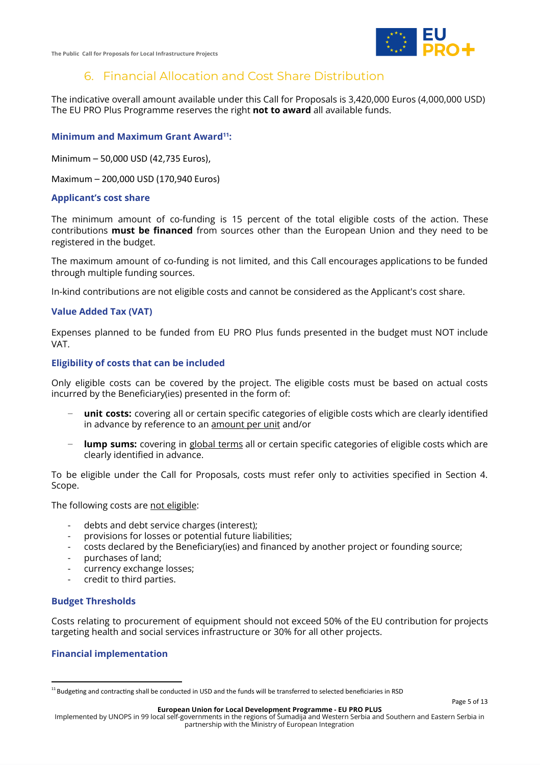

## 6. Financial Allocation and Cost Share Distribution

The indicative overall amount available under this Call for Proposals is 3,420,000 Euros (4,000,000 USD) The EU PRO Plus Programme reserves the right **not to award** all available funds.

### **Minimum and Maximum Grant Award<sup>11</sup>:**

Minimum – 50,000 USD (42,735 Euros),

Maximum – 200,000 USD (170,940 Euros)

### **Applicant's cost share**

The minimum amount of co-funding is 15 percent of the total eligible costs of the action. These contributions **must be financed** from sources other than the European Union and they need to be registered in the budget.

The maximum amount of co-funding is not limited, and this Call encourages applications to be funded through multiple funding sources.

In-kind contributions are not eligible costs and cannot be considered as the Applicant's cost share.

### **Value Added Tax (VAT)**

Expenses planned to be funded from EU PRO Plus funds presented in the budget must NOT include VAT.

### **Eligibility of costs that can be included**

Only eligible costs can be covered by the project. The eligible costs must be based on actual costs incurred by the Beneficiary(ies) presented in the form of:

- **unit costs:** covering all or certain specific categories of eligible costs which are clearly identified in advance by reference to an amount per unit and/or
- **lump sums:** covering in global terms all or certain specific categories of eligible costs which are clearly identified in advance.

To be eligible under the Call for Proposals, costs must refer only to activities specified in Section 4. Scope.

The following costs are not eligible:

- debts and debt service charges (interest);
- provisions for losses or potential future liabilities;
- costs declared by the Beneficiary(ies) and financed by another project or founding source;
- purchases of land;
- currency exchange losses;
- credit to third parties.

### **Budget Thresholds**

Costs relating to procurement of equipment should not exceed 50% of the EU contribution for projects targeting health and social services infrastructure or 30% for all other projects.

### **Financial implementation**

 $11$  Budgeting and contracting shall be conducted in USD and the funds will be transferred to selected beneficiaries in RSD

**European Union for Local Development Programme - EU PRO PLUS**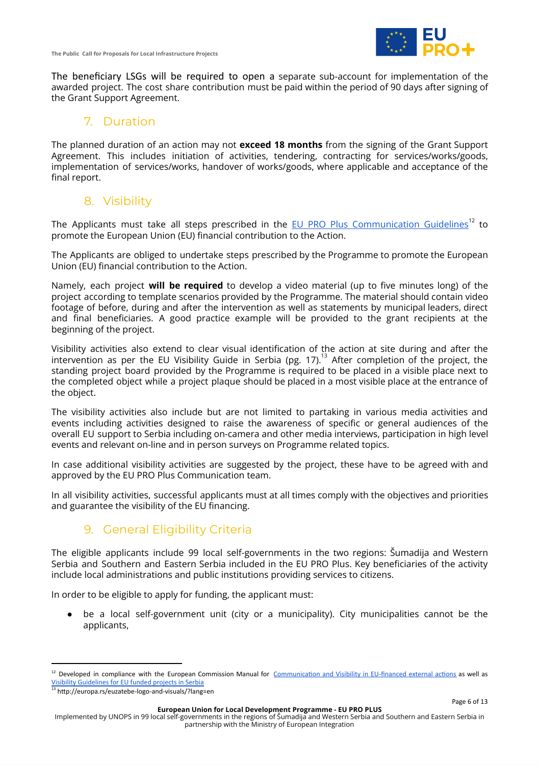

The beneficiary LSGs will be required to open a separate sub-account for implementation of the awarded project. The cost share contribution must be paid within the period of 90 days after signing of the Grant Support Agreement.

## 7. Duration

The planned duration of an action may not **exceed 18 months** from the signing of the Grant Support Agreement. This includes initiation of activities, tendering, contracting for services/works/goods, implementation of services/works, handover of works/goods, where applicable and acceptance of the final report.

## 8. Visibility

The Applicants must take all steps prescribed in the <u>EU PRO Plus [Communication](https://docs.google.com/document/d/1rAQaRT6cTs4FBnPnupe_BaLkrRUMJU_NWjSjmB-X54k/edit?usp=sharing) Guidelines</u>  $^{12}$  to promote the European Union (EU) financial contribution to the Action.

The Applicants are obliged to undertake steps prescribed by the Programme to promote the European Union (EU) financial contribution to the Action.

Namely, each project **will be required** to develop a video material (up to five minutes long) of the project according to template scenarios provided by the Programme. The material should contain video footage of before, during and after the intervention as well as statements by municipal leaders, direct and final beneficiaries. A good practice example will be provided to the grant recipients at the beginning of the project.

Visibility activities also extend to clear visual identification of the action at site during and after the intervention as per the EU Visibility Guide in Serbia (pg. 17). $^{13}$  After completion of the project, the standing project board provided by the Programme is required to be placed in a visible place next to the completed object while a project plaque should be placed in a most visible place at the entrance of the object.

The visibility activities also include but are not limited to partaking in various media activities and events including activities designed to raise the awareness of specific or general audiences of the overall EU support to Serbia including on-camera and other media interviews, participation in high level events and relevant on-line and in person surveys on Programme related topics.

In case additional visibility activities are suggested by the project, these have to be agreed with and approved by the EU PRO Plus Communication team.

In all visibility activities, successful applicants must at all times comply with the objectives and priorities and guarantee the visibility of the EU financing.

# 9. General Eligibility Criteria

The eligible applicants include 99 local self-governments in the two regions: Šumadija and Western Serbia and Southern and Eastern Serbia included in the EU PRO Plus. Key beneficiaries of the activity include local administrations and public institutions providing services to citizens.

In order to be eligible to apply for funding, the applicant must:

be a local self-government unit (city or a municipality). City municipalities cannot be the applicants,

**European Union for Local Development Programme - EU PRO PLUS**

 $12$  Developed in compliance with the European Commission Manual for [Communication](https://ec.europa.eu/international-partnerships/system/files/communication-visibility-requirements-2018_en.pdf) and Visibility in EU-financed external actions as well as Visibility [Guidelines](https://europa.rs/wp-content/uploads/2019/09/Visibility-Guidelines-for-EU-funded-projects-in-Serbia.pdf) for EU funded projects in Serbia

<sup>13</sup> http://europa.rs/euzatebe-logo-and-visuals/?lang=en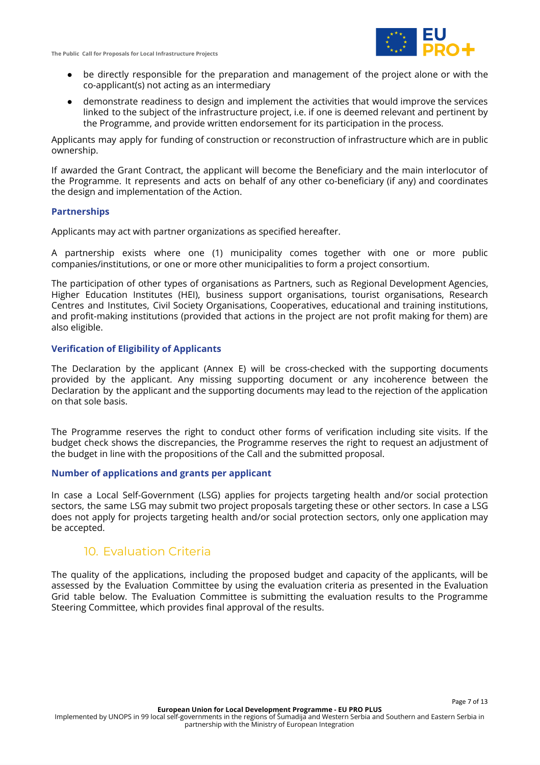

Page 7 of 13

- be directly responsible for the preparation and management of the project alone or with the co-applicant(s) not acting as an intermediary
- demonstrate readiness to design and implement the activities that would improve the services linked to the subject of the infrastructure project, i.e. if one is deemed relevant and pertinent by the Programme, and provide written endorsement for its participation in the process.

Applicants may apply for funding of construction or reconstruction of infrastructure which are in public ownership.

If awarded the Grant Contract, the applicant will become the Beneficiary and the main interlocutor of the Programme. It represents and acts on behalf of any other co-beneficiary (if any) and coordinates the design and implementation of the Action.

#### **Partnerships**

Applicants may act with partner organizations as specified hereafter.

A partnership exists where one (1) municipality comes together with one or more public companies/institutions, or one or more other municipalities to form a project consortium.

The participation of other types of organisations as Partners, such as Regional Development Agencies, Higher Education Institutes (HEI), business support organisations, tourist organisations, Research Centres and Institutes, Civil Society Organisations, Cooperatives, educational and training institutions, and profit-making institutions (provided that actions in the project are not profit making for them) are also eligible.

### **Verification of Eligibility of Applicants**

The Declaration by the applicant (Annex E) will be cross-checked with the supporting documents provided by the applicant. Any missing supporting document or any incoherence between the Declaration by the applicant and the supporting documents may lead to the rejection of the application on that sole basis.

The Programme reserves the right to conduct other forms of verification including site visits. If the budget check shows the discrepancies, the Programme reserves the right to request an adjustment of the budget in line with the propositions of the Call and the submitted proposal.

#### **Number of applications and grants per applicant**

In case a Local Self-Government (LSG) applies for projects targeting health and/or social protection sectors, the same LSG may submit two project proposals targeting these or other sectors. In case a LSG does not apply for projects targeting health and/or social protection sectors, only one application may be accepted.

### 10. Evaluation Criteria

The quality of the applications, including the proposed budget and capacity of the applicants, will be assessed by the Evaluation Committee by using the evaluation criteria as presented in the Evaluation Grid table below. The Evaluation Committee is submitting the evaluation results to the Programme Steering Committee, which provides final approval of the results.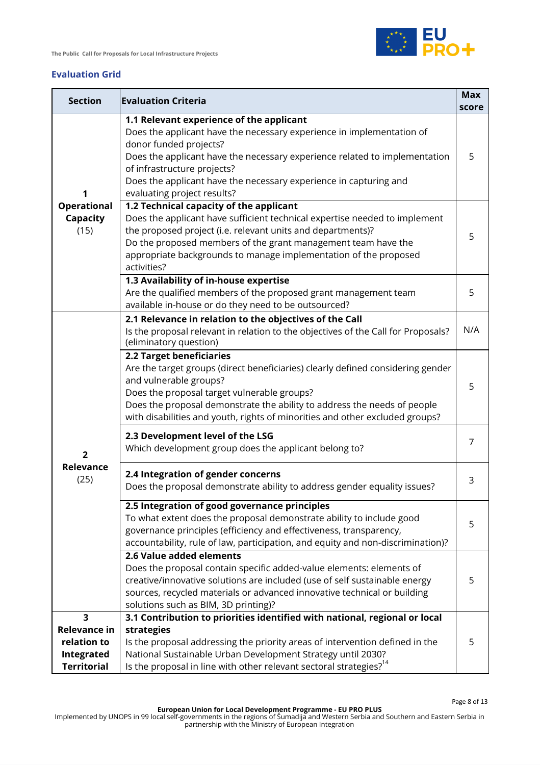

Page 8 of 13

### **Evaluation Grid**

| <b>Section</b>                                                                                    | <b>Evaluation Criteria</b>                                                                                                                                                                                                                                                                                                                                   | <b>Max</b><br>score |
|---------------------------------------------------------------------------------------------------|--------------------------------------------------------------------------------------------------------------------------------------------------------------------------------------------------------------------------------------------------------------------------------------------------------------------------------------------------------------|---------------------|
| 1                                                                                                 | 1.1 Relevant experience of the applicant<br>Does the applicant have the necessary experience in implementation of<br>donor funded projects?<br>Does the applicant have the necessary experience related to implementation<br>of infrastructure projects?<br>Does the applicant have the necessary experience in capturing and<br>evaluating project results? |                     |
| <b>Operational</b><br>Capacity<br>(15)                                                            | 1.2 Technical capacity of the applicant<br>Does the applicant have sufficient technical expertise needed to implement<br>the proposed project (i.e. relevant units and departments)?<br>Do the proposed members of the grant management team have the<br>appropriate backgrounds to manage implementation of the proposed<br>activities?                     | 5                   |
|                                                                                                   | 1.3 Availability of in-house expertise<br>Are the qualified members of the proposed grant management team<br>available in-house or do they need to be outsourced?                                                                                                                                                                                            | 5                   |
|                                                                                                   | 2.1 Relevance in relation to the objectives of the Call<br>Is the proposal relevant in relation to the objectives of the Call for Proposals?<br>(eliminatory question)                                                                                                                                                                                       | N/A                 |
|                                                                                                   | 2.2 Target beneficiaries<br>Are the target groups (direct beneficiaries) clearly defined considering gender<br>and vulnerable groups?<br>Does the proposal target vulnerable groups?<br>Does the proposal demonstrate the ability to address the needs of people<br>with disabilities and youth, rights of minorities and other excluded groups?             | 5                   |
| $\overline{2}$                                                                                    | 2.3 Development level of the LSG<br>Which development group does the applicant belong to?                                                                                                                                                                                                                                                                    | 7                   |
| Relevance<br>(25)                                                                                 | 2.4 Integration of gender concerns<br>Does the proposal demonstrate ability to address gender equality issues?                                                                                                                                                                                                                                               | 3                   |
|                                                                                                   | 2.5 Integration of good governance principles<br>To what extent does the proposal demonstrate ability to include good<br>governance principles (efficiency and effectiveness, transparency,<br>accountability, rule of law, participation, and equity and non-discrimination)?                                                                               |                     |
|                                                                                                   | 2.6 Value added elements<br>Does the proposal contain specific added-value elements: elements of<br>creative/innovative solutions are included (use of self sustainable energy<br>sources, recycled materials or advanced innovative technical or building<br>solutions such as BIM, 3D printing)?                                                           |                     |
| $\overline{\mathbf{3}}$<br><b>Relevance in</b><br>relation to<br>Integrated<br><b>Territorial</b> | 3.1 Contribution to priorities identified with national, regional or local<br>strategies<br>Is the proposal addressing the priority areas of intervention defined in the<br>National Sustainable Urban Development Strategy until 2030?<br>Is the proposal in line with other relevant sectoral strategies? <sup>14</sup>                                    | 5                   |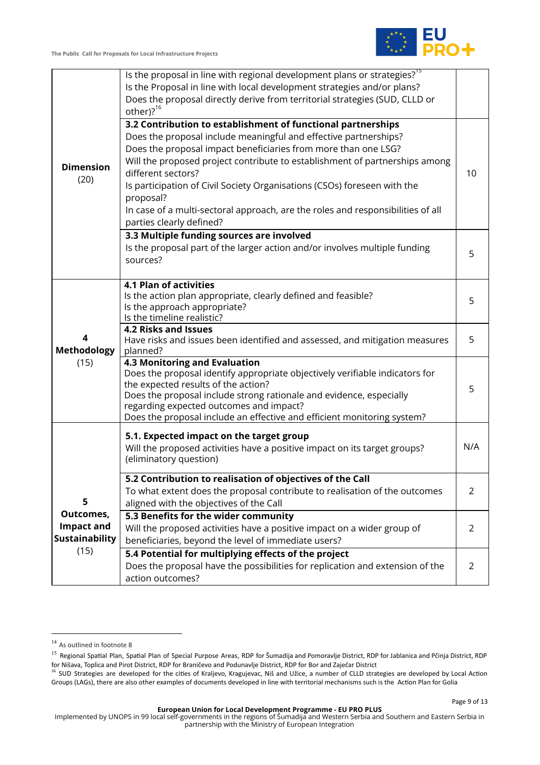

|                                                         | Is the proposal in line with regional development plans or strategies? <sup>15</sup><br>Is the Proposal in line with local development strategies and/or plans?<br>Does the proposal directly derive from territorial strategies (SUD, CLLD or<br>other)? <sup>16</sup>                                                                                                                                                                                                                                         |                |
|---------------------------------------------------------|-----------------------------------------------------------------------------------------------------------------------------------------------------------------------------------------------------------------------------------------------------------------------------------------------------------------------------------------------------------------------------------------------------------------------------------------------------------------------------------------------------------------|----------------|
| <b>Dimension</b><br>(20)                                | 3.2 Contribution to establishment of functional partnerships<br>Does the proposal include meaningful and effective partnerships?<br>Does the proposal impact beneficiaries from more than one LSG?<br>Will the proposed project contribute to establishment of partnerships among<br>different sectors?<br>Is participation of Civil Society Organisations (CSOs) foreseen with the<br>proposal?<br>In case of a multi-sectoral approach, are the roles and responsibilities of all<br>parties clearly defined? |                |
|                                                         | 3.3 Multiple funding sources are involved<br>Is the proposal part of the larger action and/or involves multiple funding<br>sources?                                                                                                                                                                                                                                                                                                                                                                             | 5              |
|                                                         | <b>4.1 Plan of activities</b><br>Is the action plan appropriate, clearly defined and feasible?<br>Is the approach appropriate?<br>Is the timeline realistic?                                                                                                                                                                                                                                                                                                                                                    | 5              |
| 4<br><b>Methodology</b>                                 | <b>4.2 Risks and Issues</b><br>Have risks and issues been identified and assessed, and mitigation measures<br>planned?                                                                                                                                                                                                                                                                                                                                                                                          | 5              |
| (15)                                                    | 4.3 Monitoring and Evaluation<br>Does the proposal identify appropriate objectively verifiable indicators for<br>the expected results of the action?<br>Does the proposal include strong rationale and evidence, especially<br>regarding expected outcomes and impact?<br>Does the proposal include an effective and efficient monitoring system?                                                                                                                                                               | 5              |
|                                                         | 5.1. Expected impact on the target group<br>Will the proposed activities have a positive impact on its target groups?<br>(eliminatory question)                                                                                                                                                                                                                                                                                                                                                                 | N/A            |
| 5                                                       | 5.2 Contribution to realisation of objectives of the Call<br>To what extent does the proposal contribute to realisation of the outcomes<br>aligned with the objectives of the Call                                                                                                                                                                                                                                                                                                                              | 2              |
| Outcomes,<br><b>Impact and</b><br><b>Sustainability</b> | 5.3 Benefits for the wider community<br>Will the proposed activities have a positive impact on a wider group of<br>beneficiaries, beyond the level of immediate users?                                                                                                                                                                                                                                                                                                                                          | 2              |
| (15)                                                    | 5.4 Potential for multiplying effects of the project<br>Does the proposal have the possibilities for replication and extension of the<br>action outcomes?                                                                                                                                                                                                                                                                                                                                                       | $\overline{2}$ |

<sup>&</sup>lt;sup>14</sup> As outlined in footnote 8

<sup>&</sup>lt;sup>15</sup> Regional Spatial Plan, Spatial Plan of Special Purpose Areas, RDP for Šumadija and Pomoravlje District, RDP for Jablanica and Pčinja District, RDP

for Nišava, Toplica and Pirot District, RDP for Braničevo and Podunavlje District, RDP for Bor and Zaječar District<br><sup>16</sup> SUD Strategies are developed for the cities of Kraljevo, Kragujevac, Niš and Užice, a number of CLLD Groups (LAGs), there are also other examples of documents developed in line with territorial mechanisms such is the Action Plan for Golia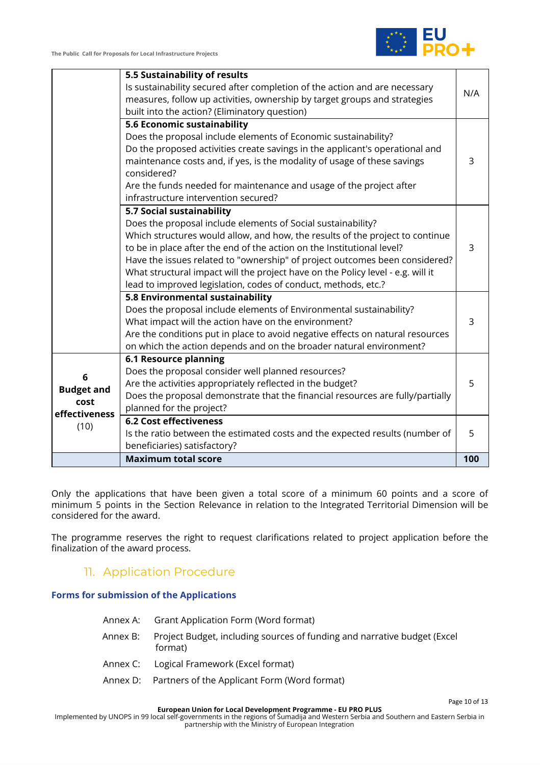

|                               | 5.5 Sustainability of results                                                   |     |  |
|-------------------------------|---------------------------------------------------------------------------------|-----|--|
|                               | Is sustainability secured after completion of the action and are necessary      | N/A |  |
|                               | measures, follow up activities, ownership by target groups and strategies       |     |  |
|                               | built into the action? (Eliminatory question)                                   |     |  |
|                               | 5.6 Economic sustainability                                                     |     |  |
|                               | Does the proposal include elements of Economic sustainability?                  |     |  |
|                               | Do the proposed activities create savings in the applicant's operational and    |     |  |
|                               | maintenance costs and, if yes, is the modality of usage of these savings        | 3   |  |
|                               | considered?                                                                     |     |  |
|                               | Are the funds needed for maintenance and usage of the project after             |     |  |
|                               | infrastructure intervention secured?                                            |     |  |
|                               | 5.7 Social sustainability                                                       |     |  |
|                               | Does the proposal include elements of Social sustainability?                    |     |  |
|                               | Which structures would allow, and how, the results of the project to continue   |     |  |
|                               | to be in place after the end of the action on the Institutional level?          | 3   |  |
|                               | Have the issues related to "ownership" of project outcomes been considered?     |     |  |
|                               | What structural impact will the project have on the Policy level - e.g. will it |     |  |
|                               | lead to improved legislation, codes of conduct, methods, etc.?                  |     |  |
|                               | 5.8 Environmental sustainability                                                |     |  |
|                               | Does the proposal include elements of Environmental sustainability?             |     |  |
|                               | What impact will the action have on the environment?                            | 3   |  |
|                               | Are the conditions put in place to avoid negative effects on natural resources  |     |  |
|                               | on which the action depends and on the broader natural environment?             |     |  |
|                               | <b>6.1 Resource planning</b>                                                    |     |  |
| 6                             | Does the proposal consider well planned resources?                              |     |  |
| <b>Budget and</b>             | Are the activities appropriately reflected in the budget?                       | 5   |  |
| cost<br>effectiveness<br>(10) | Does the proposal demonstrate that the financial resources are fully/partially  |     |  |
|                               | planned for the project?<br><b>6.2 Cost effectiveness</b>                       |     |  |
|                               |                                                                                 |     |  |
|                               | Is the ratio between the estimated costs and the expected results (number of    | 5   |  |
|                               | beneficiaries) satisfactory?<br><b>Maximum total score</b>                      | 100 |  |
|                               |                                                                                 |     |  |

Only the applications that have been given a total score of a minimum 60 points and a score of minimum 5 points in the Section Relevance in relation to the Integrated Territorial Dimension will be considered for the award.

The programme reserves the right to request clarifications related to project application before the finalization of the award process.

### 11. Application Procedure

### **Forms for submission of the Applications**

|          | Annex A: Grant Application Form (Word format)                                       |
|----------|-------------------------------------------------------------------------------------|
| Annex B: | Project Budget, including sources of funding and narrative budget (Excel<br>format) |
|          | Annex C: Logical Framework (Excel format)                                           |
|          | Annex D: Partners of the Applicant Form (Word format)                               |

Page 10 of 13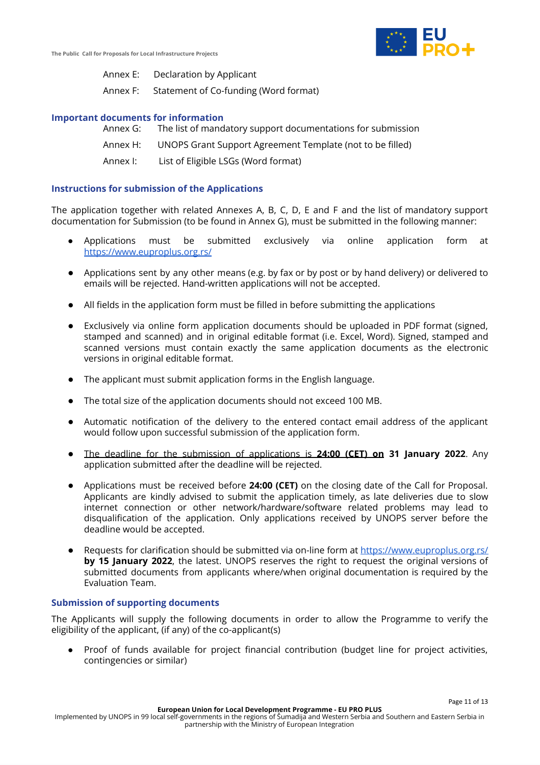

| Annex E: | Declaration by Applicant |  |  |  |  |
|----------|--------------------------|--|--|--|--|
|          |                          |  |  |  |  |

Annex F: Statement of Co-funding (Word format)

### **Important documents for information**

- Annex G: The list of mandatory support documentations for submission
- Annex H: UNOPS Grant Support Agreement Template (not to be filled)
- Annex I: List of Eligible LSGs (Word format)

### **Instructions for submission of the Applications**

The application together with related Annexes A, B, C, D, E and F and the list of mandatory support documentation for Submission (to be found in Annex G), must be submitted in the following manner:

- Applications must be submitted exclusively via online application form at <https://www.euproplus.org.rs/>
- Applications sent by any other means (e.g. by fax or by post or by hand delivery) or delivered to emails will be rejected. Hand-written applications will not be accepted.
- All fields in the application form must be filled in before submitting the applications
- Exclusively via online form application documents should be uploaded in PDF format (signed, stamped and scanned) and in original editable format (i.e. Excel, Word). Signed, stamped and scanned versions must contain exactly the same application documents as the electronic versions in original editable format.
- The applicant must submit application forms in the English language.
- The total size of the application documents should not exceed 100 MB.
- Automatic notification of the delivery to the entered contact email address of the applicant would follow upon successful submission of the application form.
- The deadline for the submission of applications is **24:00 (CET) on 31 January 2022**. Any application submitted after the deadline will be rejected.
- Applications must be received before **24:00 (CET)** on the closing date of the Call for Proposal. Applicants are kindly advised to submit the application timely, as late deliveries due to slow internet connection or other network/hardware/software related problems may lead to disqualification of the application. Only applications received by UNOPS server before the deadline would be accepted.
- Requests for clarification should be submitted via on-line form at <https://www.euproplus.org.rs/> **by 15 January 2022**, the latest. UNOPS reserves the right to request the original versions of submitted documents from applicants where/when original documentation is required by the Evaluation Team.

### **Submission of supporting documents**

The Applicants will supply the following documents in order to allow the Programme to verify the eligibility of the applicant, (if any) of the co-applicant(s)

Proof of funds available for project financial contribution (budget line for project activities, contingencies or similar)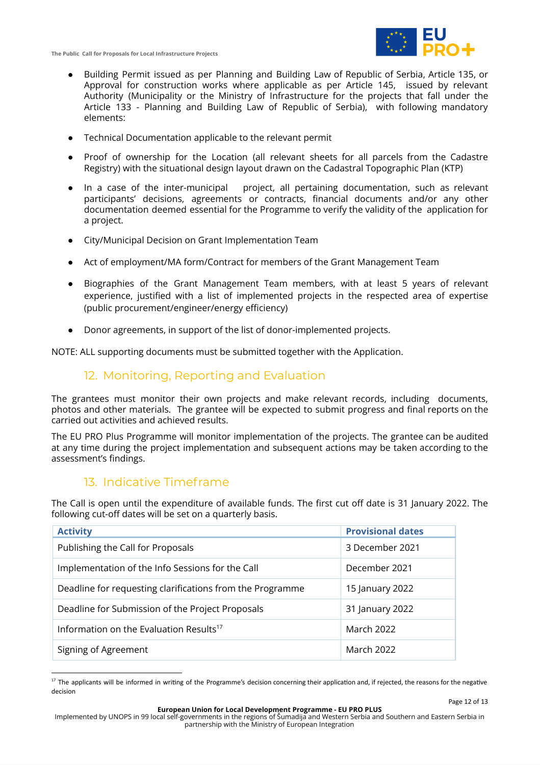

- Building Permit issued as per Planning and Building Law of Republic of Serbia, Article 135, or Approval for construction works where applicable as per Article 145, issued by relevant Authority (Municipality or the Ministry of Infrastructure for the projects that fall under the Article 133 - Planning and Building Law of Republic of Serbia), with following mandatory elements:
- Technical Documentation applicable to the relevant permit
- Proof of ownership for the Location (all relevant sheets for all parcels from the Cadastre Registry) with the situational design layout drawn on the Cadastral Topographic Plan (KTP)
- In a case of the inter-municipal project, all pertaining documentation, such as relevant participants' decisions, agreements or contracts, financial documents and/or any other documentation deemed essential for the Programme to verify the validity of the application for a project.
- City/Municipal Decision on Grant Implementation Team
- Act of employment/MA form/Contract for members of the Grant Management Team
- Biographies of the Grant Management Team members, with at least 5 years of relevant experience, justified with a list of implemented projects in the respected area of expertise (public procurement/engineer/energy efficiency)
- Donor agreements, in support of the list of donor-implemented projects.

NOTE: ALL supporting documents must be submitted together with the Application.

### 12. Monitoring, Reporting and Evaluation

The grantees must monitor their own projects and make relevant records, including documents, photos and other materials. The grantee will be expected to submit progress and final reports on the carried out activities and achieved results.

The EU PRO Plus Programme will monitor implementation of the projects. The grantee can be audited at any time during the project implementation and subsequent actions may be taken according to the assessment's findings.

## 13. Indicative Timeframe

The Call is open until the expenditure of available funds. The first cut off date is 31 January 2022. The following cut-off dates will be set on a quarterly basis.

| <b>Activity</b>                                           | <b>Provisional dates</b> |
|-----------------------------------------------------------|--------------------------|
| Publishing the Call for Proposals                         | 3 December 2021          |
| Implementation of the Info Sessions for the Call          | December 2021            |
| Deadline for requesting clarifications from the Programme | 15 January 2022          |
| Deadline for Submission of the Project Proposals          | 31 January 2022          |
| Information on the Evaluation Results <sup>17</sup>       | March 2022               |
| Signing of Agreement                                      | March 2022               |

<sup>&</sup>lt;sup>17</sup> The applicants will be informed in writing of the Programme's decision concerning their application and, if rejected, the reasons for the negative decision

Implemented by UNOPS in 99 local self-governments in the regions of Šumadija and Western Serbia and Southern and Eastern Serbia in partnership with the Ministry of European Integration